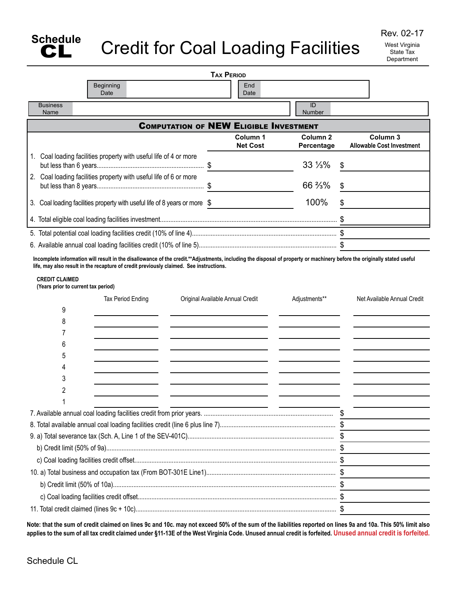

Rev. 02-17 West Virginia State Tax **Department** 

|                                                                            | <b>TAX PERIOD</b>                             |                                   |                                              |
|----------------------------------------------------------------------------|-----------------------------------------------|-----------------------------------|----------------------------------------------|
| Beginning<br>Date                                                          | End<br>Date                                   |                                   |                                              |
| <b>Business</b><br>Name                                                    |                                               | ID<br><b>Number</b>               |                                              |
|                                                                            | <b>COMPUTATION OF NEW ELIGIBLE INVESTMENT</b> |                                   |                                              |
|                                                                            | Column 1<br><b>Net Cost</b>                   | Column <sub>2</sub><br>Percentage | Column 3<br><b>Allowable Cost Investment</b> |
| 1. Coal loading facilities property with useful life of 4 or more          | \$                                            | 33 1/3%                           | \$                                           |
| 2. Coal loading facilities property with useful life of 6 or more          | \$                                            | 66 %%                             | \$                                           |
| 3. Coal loading facilities property with useful life of 8 years or more \$ |                                               | 100%                              | \$                                           |
|                                                                            |                                               |                                   |                                              |
|                                                                            |                                               |                                   |                                              |
|                                                                            |                                               |                                   |                                              |
| <b>CREDIT CLAIMED</b><br>(Years prior to current tax period)               |                                               | Adjustments**                     | Net Available Annual Credit                  |
| Tax Period Ending<br>9                                                     | Original Available Annual Credit              |                                   |                                              |
| 8                                                                          |                                               |                                   |                                              |
|                                                                            |                                               |                                   |                                              |
| 6                                                                          |                                               |                                   |                                              |
| 5                                                                          |                                               |                                   |                                              |
| 4                                                                          |                                               |                                   |                                              |
| 3                                                                          |                                               |                                   |                                              |
| 2                                                                          |                                               |                                   |                                              |
|                                                                            |                                               |                                   |                                              |
|                                                                            |                                               |                                   |                                              |
|                                                                            |                                               |                                   |                                              |
|                                                                            |                                               |                                   |                                              |
|                                                                            |                                               |                                   |                                              |
|                                                                            |                                               |                                   |                                              |
|                                                                            |                                               |                                   |                                              |

**Note: that the sum of credit claimed on lines 9c and 10c. may not exceed 50% of the sum of the liabilities reported on lines 9a and 10a. This 50% limit also applies to the sum of all tax credit claimed under §11-13E of the West Virginia Code. Unused annual credit is forfeited. Unused annual credit is forfeited.**

c) Coal loading facilities credit offset..................................................................................................................... \$ 11. Total credit claimed (lines 9c + 10c)...................................................................................................................... \$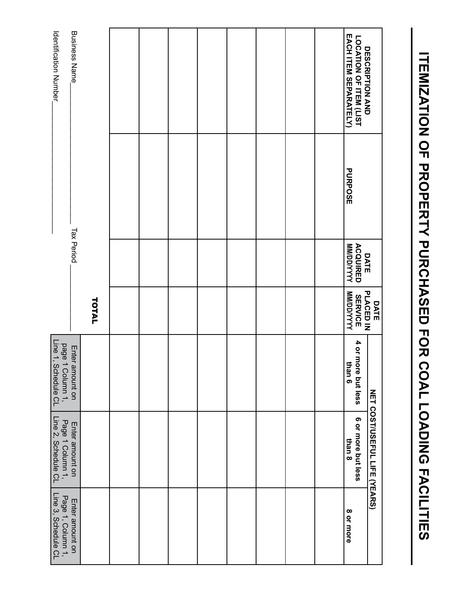| Business Name_<br>Identification<br>Number                              |       |  |  |  |  | LOCATION OF ITEM (LIST<br>EACH ITEM SEPARATELY)<br>DESCRIPTION<br>AND |                                     |
|-------------------------------------------------------------------------|-------|--|--|--|--|-----------------------------------------------------------------------|-------------------------------------|
|                                                                         |       |  |  |  |  | <b>PURPOSE</b>                                                        |                                     |
| <b>Tax Period</b>                                                       |       |  |  |  |  | <b>WM/DD/YYYY</b><br><b>ACQUIRED</b><br>DATE                          |                                     |
|                                                                         | TOTAL |  |  |  |  | <b>MAYAQUMM</b><br><b>SERVICE</b>                                     | DATE<br>PLACED IN                   |
| page 1<br>Line 1, S<br>Enter<br>1 Column 1,<br>Schedule CL<br>amount on |       |  |  |  |  | 4 or more but less<br>than 6                                          |                                     |
| Line 2, Schedule CL<br>Page 1 Column 1,<br>Enter amount on              |       |  |  |  |  | 6 or more but less<br>than 8                                          | <b>NET COST/USEFUL LIFE (YEARS)</b> |
| Page 1, Column 1,<br>Line 3, Schedule CL<br>Enter amount on             |       |  |  |  |  | 8 or more                                                             |                                     |

**Itemization of property purchased for coal loading facilities**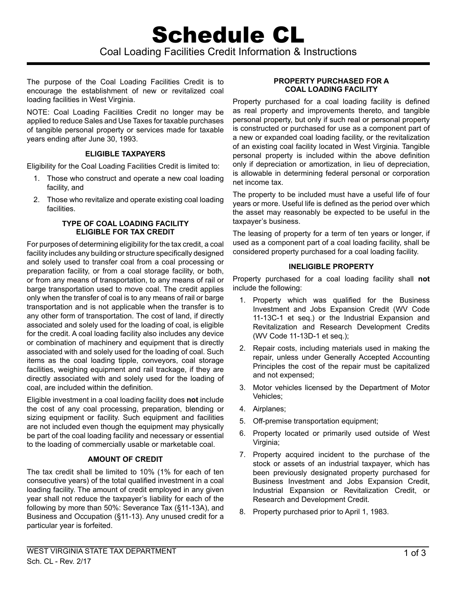The purpose of the Coal Loading Facilities Credit is to encourage the establishment of new or revitalized coal loading facilities in West Virginia.

NOTE: Coal Loading Facilities Credit no longer may be applied to reduce Sales and Use Taxes for taxable purchases of tangible personal property or services made for taxable years ending after June 30, 1993.

# **Eligible Taxpayers**

Eligibility for the Coal Loading Facilities Credit is limited to:

- 1. Those who construct and operate a new coal loading facility, and
- 2. Those who revitalize and operate existing coal loading facilities.

### **Type of Coal Loading Facility Eligible for Tax Credit**

For purposes of determining eligibility for the tax credit, a coal facility includes any building or structure specifically designed and solely used to transfer coal from a coal processing or preparation facility, or from a coal storage facility, or both, or from any means of transportation, to any means of rail or barge transportation used to move coal. The credit applies only when the transfer of coal is to any means of rail or barge transportation and is not applicable when the transfer is to any other form of transportation. The cost of land, if directly associated and solely used for the loading of coal, is eligible for the credit. A coal loading facility also includes any device or combination of machinery and equipment that is directly associated with and solely used for the loading of coal. Such items as the coal loading tipple, conveyors, coal storage facilities, weighing equipment and rail trackage, if they are directly associated with and solely used for the loading of coal, are included within the definition.

Eligible investment in a coal loading facility does **not** include the cost of any coal processing, preparation, blending or sizing equipment or facility. Such equipment and facilities are not included even though the equipment may physically be part of the coal loading facility and necessary or essential to the loading of commercially usable or marketable coal.

# **Amount of Credit**

The tax credit shall be limited to 10% (1% for each of ten consecutive years) of the total qualified investment in a coal loading facility. The amount of credit employed in any given year shall not reduce the taxpayer's liability for each of the following by more than 50%: Severance Tax (§11-13A), and Business and Occupation (§11-13). Any unused credit for a particular year is forfeited.

#### **Property Purchased for a Coal Loading Facility**

Property purchased for a coal loading facility is defined as real property and improvements thereto, and tangible personal property, but only if such real or personal property is constructed or purchased for use as a component part of a new or expanded coal loading facility, or the revitalization of an existing coal facility located in West Virginia. Tangible personal property is included within the above definition only if depreciation or amortization, in lieu of depreciation, is allowable in determining federal personal or corporation net income tax.

The property to be included must have a useful life of four years or more. Useful life is defined as the period over which the asset may reasonably be expected to be useful in the taxpayer's business.

The leasing of property for a term of ten years or longer, if used as a component part of a coal loading facility, shall be considered property purchased for a coal loading facility.

# **Ineligible Property**

Property purchased for a coal loading facility shall **not** include the following:

- 1. Property which was qualified for the Business Investment and Jobs Expansion Credit (WV Code 11-13C-1 et seq.) or the Industrial Expansion and Revitalization and Research Development Credits (WV Code 11-13D-1 et seq.);
- 2. Repair costs, including materials used in making the repair, unless under Generally Accepted Accounting Principles the cost of the repair must be capitalized and not expensed;
- 3. Motor vehicles licensed by the Department of Motor Vehicles;
- 4. Airplanes;
- 5. Off-premise transportation equipment;
- 6. Property located or primarily used outside of West Virginia;
- 7. Property acquired incident to the purchase of the stock or assets of an industrial taxpayer, which has been previously designated property purchased for Business Investment and Jobs Expansion Credit, Industrial Expansion or Revitalization Credit, or Research and Development Credit.
- 8. Property purchased prior to April 1, 1983.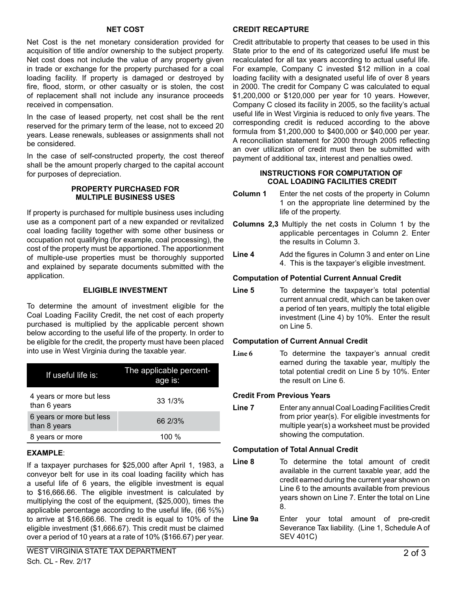#### **Net Cost**

Net Cost is the net monetary consideration provided for acquisition of title and/or ownership to the subject property. Net cost does not include the value of any property given in trade or exchange for the property purchased for a coal loading facility. If property is damaged or destroyed by fire, flood, storm, or other casualty or is stolen, the cost of replacement shall not include any insurance proceeds received in compensation.

In the case of leased property, net cost shall be the rent reserved for the primary term of the lease, not to exceed 20 years. Lease renewals, subleases or assignments shall not be considered.

In the case of self-constructed property, the cost thereof shall be the amount properly charged to the capital account for purposes of depreciation.

### **Property Purchased For Multiple Business Uses**

If property is purchased for multiple business uses including use as a component part of a new expanded or revitalized coal loading facility together with some other business or occupation not qualifying (for example, coal processing), the cost of the property must be apportioned. The apportionment of multiple-use properties must be thoroughly supported and explained by separate documents submitted with the application.

## **Eligible Investment**

To determine the amount of investment eligible for the Coal Loading Facility Credit, the net cost of each property purchased is multiplied by the applicable percent shown below according to the useful life of the property. In order to be eligible for the credit, the property must have been placed into use in West Virginia during the taxable year.

| If useful life is:                       | The applicable percent-<br>age is: |
|------------------------------------------|------------------------------------|
| 4 years or more but less<br>than 6 years | 33 1/3%                            |
| 6 years or more but less<br>than 8 years | 66 2/3%                            |
| 8 years or more                          | 100 $%$                            |

## **Example**:

If a taxpayer purchases for \$25,000 after April 1, 1983, a conveyor belt for use in its coal loading facility which has a useful life of 6 years, the eligible investment is equal to \$16,666.66. The eligible investment is calculated by multiplying the cost of the equipment, (\$25,000), times the applicable percentage according to the useful life, (66 ⅔%) to arrive at \$16,666.66. The credit is equal to 10% of the eligible investment (\$1,666.67). This credit must be claimed over a period of 10 years at a rate of 10% (\$166.67) per year.

#### **Credit Recapture**

Credit attributable to property that ceases to be used in this State prior to the end of its categorized useful life must be recalculated for all tax years according to actual useful life. For example, Company C invested \$12 million in a coal loading facility with a designated useful life of over 8 years in 2000. The credit for Company C was calculated to equal \$1,200,000 or \$120,000 per year for 10 years. However, Company C closed its facility in 2005, so the facility's actual useful life in West Virginia is reduced to only five years. The corresponding credit is reduced according to the above formula from \$1,200,000 to \$400,000 or \$40,000 per year. A reconciliation statement for 2000 through 2005 reflecting an over utilization of credit must then be submitted with payment of additional tax, interest and penalties owed.

#### **Instructions for Computation of Coal Loading Facilities Credit**

- **Column 1** Enter the net costs of the property in Column 1 on the appropriate line determined by the life of the property.
- **Columns 2,3** Multiply the net costs in Column 1 by the applicable percentages in Column 2. Enter the results in Column 3.
- **Line 4** Add the figures in Column 3 and enter on Line 4. This is the taxpayer's eligible investment.

## **Computation of Potential Current Annual Credit**

Line 5 To determine the taxpayer's total potential current annual credit, which can be taken over a period of ten years, multiply the total eligible investment (Line 4) by 10%. Enter the result on Line 5.

## **Computation of Current Annual Credit**

Line 6 To determine the taxpayer's annual credit earned during the taxable year, multiply the total potential credit on Line 5 by 10%. Enter the result on Line 6.

#### **Credit From Previous Years**

**Line 7** Enter any annual Coal Loading Facilities Credit from prior year(s). For eligible investments for multiple year(s) a worksheet must be provided showing the computation.

## **Computation of Total Annual Credit**

- **Line 8** To determine the total amount of credit available in the current taxable year, add the credit earned during the current year shown on Line 6 to the amounts available from previous years shown on Line 7. Enter the total on Line 8.
- **Line 9a** Enter your total amount of pre-credit Severance Tax liability. (Line 1, Schedule A of SEV 401C)